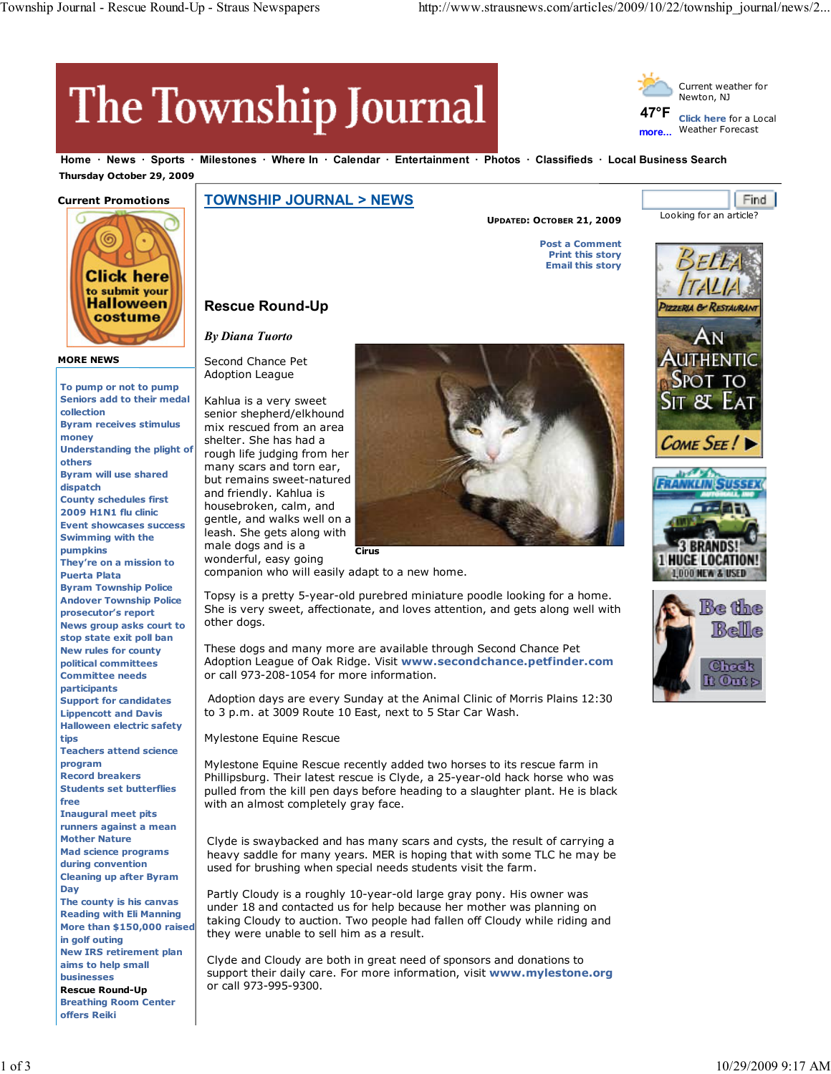# **The Township Journal**

**Rescue Round-Up**



**more...** Weather Forecast

**Home News Sports Milestones Where In Calendar Entertainment Photos Classifieds Local Business Search Thursday October 29, 2009**

# **Current Promotions**



### **MORE NEWS**

**To pump or not to pump Seniors add to their medal collection Byram receives stimulus money Understanding the plight of others Byram will use shared dispatch County schedules first 2009 H1N1 flu clinic Event showcases success Swimming with the pumpkins They're on a mission to Puerta Plata Byram Township Police Andover Township Police prosecutor's report News group asks court to stop state exit poll ban New rules for county political committees Committee needs participants Support for candidates Lippencott and Davis Halloween electric safety tips Teachers attend science program Record breakers Students set butterflies free Inaugural meet pits runners against a mean Mother Nature Mad science programs during convention Cleaning up after Byram Day The county is his canvas Reading with Eli Manning More than \$150,000 raised in golf outing New IRS retirement plan aims to help small businesses Rescue Round-Up Breathing Room Center offers Reiki**

## **TOWNSHIP JOURNAL > NEWS**

**UPDATED: OCTOBER 21, 2009**

Find, Looking for an article?

**Post a Comment Print this story**

**Email this story**

# **PIZZERIA & RESTAURANT** HENTIC OME SEE!







companion who will easily adapt to a new home.

Topsy is a pretty 5-year-old purebred miniature poodle looking for a home. She is very sweet, affectionate, and loves attention, and gets along well with other dogs.

These dogs and many more are available through Second Chance Pet Adoption League of Oak Ridge. Visit **www.secondchance.petfinder.com** or call 973-208-1054 for more information.

Adoption days are every Sunday at the Animal Clinic of Morris Plains 12:30 to 3 p.m. at 3009 Route 10 East, next to 5 Star Car Wash.

Mylestone Equine Rescue

Mylestone Equine Rescue recently added two horses to its rescue farm in Phillipsburg. Their latest rescue is Clyde, a 25-year-old hack horse who was pulled from the kill pen days before heading to a slaughter plant. He is black with an almost completely gray face.

Clyde is swaybacked and has many scars and cysts, the result of carrying a heavy saddle for many years. MER is hoping that with some TLC he may be used for brushing when special needs students visit the farm.

Partly Cloudy is a roughly 10-year-old large gray pony. His owner was under 18 and contacted us for help because her mother was planning on taking Cloudy to auction. Two people had fallen off Cloudy while riding and they were unable to sell him as a result.

Clyde and Cloudy are both in great need of sponsors and donations to support their daily care. For more information, visit **www.mylestone.org** or call 973-995-9300.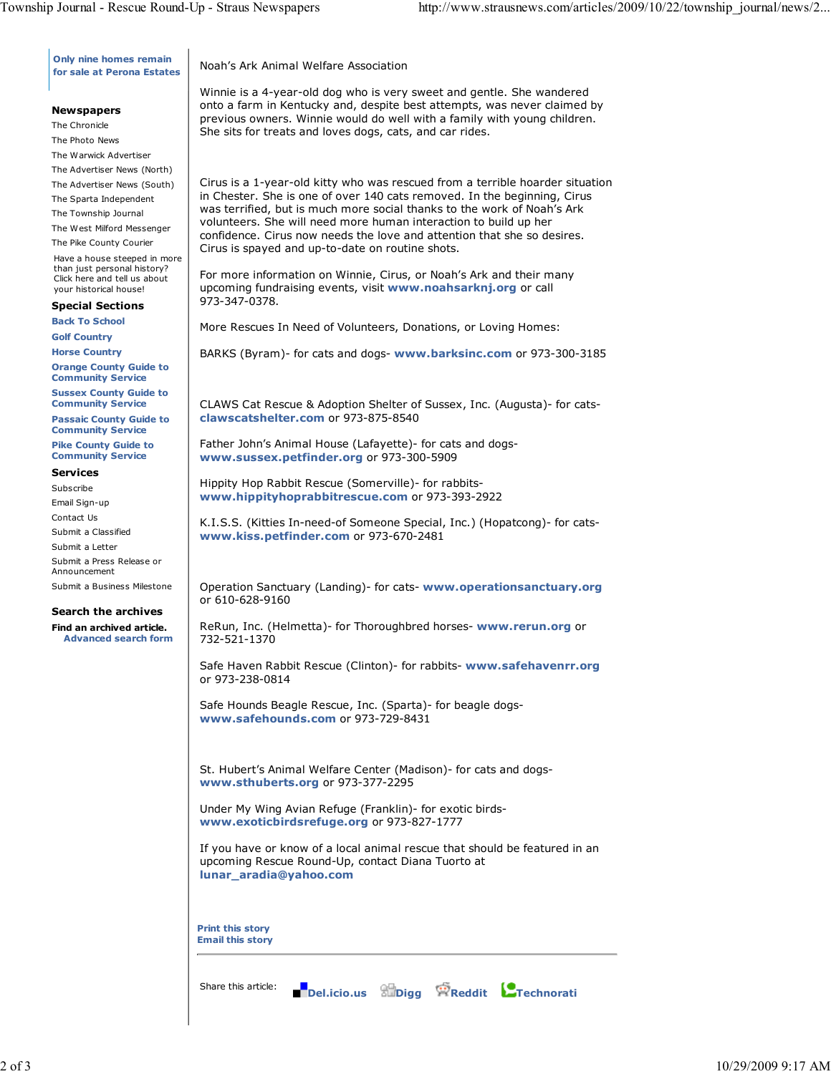**Only nine homes remain for sale at Perona Estates**

## **Newspapers**

The Chronicle The Photo News The Warwick Advertiser

The Advertiser News (North)

The Advertiser News (South)

The Sparta Independent

The Township Journal

The West Milford Messenger The Pike County Courier

Have a house steeped in more than just personal history? Click here and tell us about your historical house!

## **Special Sections**

**Back To School**

**Golf Country**

**Horse Country Orange County Guide to Community Service**

**Sussex County Guide to**

**Community Service Passaic County Guide to Community Service**

**Pike County Guide to Community Service**

## **Services**

Subscribe Email Sign-up

Contact Us

Submit a Classified

Submit a Letter

Submit a Press Release or Announcement

Submit a Business Milestone

## **Search the archives**

**Find an archived article. Advanced search form** Noah's Ark Animal Welfare Association

Winnie is a 4-year-old dog who is very sweet and gentle. She wandered onto a farm in Kentucky and, despite best attempts, was never claimed by previous owners. Winnie would do well with a family with young children. She sits for treats and loves dogs, cats, and car rides.

Cirus is a 1-year-old kitty who was rescued from a terrible hoarder situation in Chester. She is one of over 140 cats removed. In the beginning, Cirus was terrified, but is much more social thanks to the work of Noah's Ark volunteers. She will need more human interaction to build up her confidence. Cirus now needs the love and attention that she so desires. Cirus is spayed and up-to-date on routine shots.

For more information on Winnie, Cirus, or Noah's Ark and their many upcoming fundraising events, visit **www.noahsarknj.org** or call 973-347-0378.

More Rescues In Need of Volunteers, Donations, or Loving Homes:

BARKS (Byram)- for cats and dogs- **www.barksinc.com** or 973-300-3185

CLAWS Cat Rescue & Adoption Shelter of Sussex, Inc. (Augusta)- for cats**clawscatshelter.com** or 973-875-8540

Father John's Animal House (Lafayette)- for cats and dogs**www.sussex.petfinder.org** or 973-300-5909

Hippity Hop Rabbit Rescue (Somerville)- for rabbits**www.hippityhoprabbitrescue.com** or 973-393-2922

K.I.S.S. (Kitties In-need-of Someone Special, Inc.) (Hopatcong)- for cats**www.kiss.petfinder.com** or 973-670-2481

Operation Sanctuary (Landing)- for cats- **www.operationsanctuary.org** or 610-628-9160

ReRun, Inc. (Helmetta)- for Thoroughbred horses- **www.rerun.org** or 732-521-1370

Safe Haven Rabbit Rescue (Clinton)- for rabbits- **www.safehavenrr.org** or 973-238-0814

Safe Hounds Beagle Rescue, Inc. (Sparta)- for beagle dogs**www.safehounds.com** or 973-729-8431

St. Hubert's Animal Welfare Center (Madison)- for cats and dogs**www.sthuberts.org** or 973-377-2295

Under My Wing Avian Refuge (Franklin)- for exotic birds**www.exoticbirdsrefuge.org** or 973-827-1777

If you have or know of a local animal rescue that should be featured in an upcoming Rescue Round-Up, contact Diana Tuorto at **lunar\_aradia@yahoo.com**

**Print this story Email this story**

Share this article: **Del.icio.us Digg Reddit Technorati**